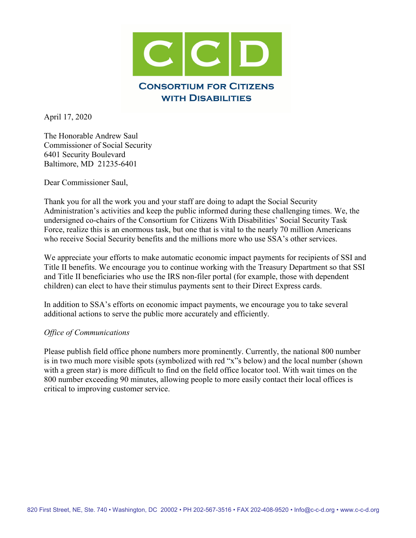

April 17, 2020

The Honorable Andrew Saul Commissioner of Social Security 6401 Security Boulevard Baltimore, MD 21235-6401

Dear Commissioner Saul,

Thank you for all the work you and your staff are doing to adapt the Social Security Administration's activities and keep the public informed during these challenging times. We, the undersigned co-chairs of the Consortium for Citizens With Disabilities' Social Security Task Force, realize this is an enormous task, but one that is vital to the nearly 70 million Americans who receive Social Security benefits and the millions more who use SSA's other services.

We appreciate your efforts to make automatic economic impact payments for recipients of SSI and Title II benefits. We encourage you to continue working with the Treasury Department so that SSI and Title II beneficiaries who use the IRS non-filer portal (for example, those with dependent children) can elect to have their stimulus payments sent to their Direct Express cards.

In addition to SSA's efforts on economic impact payments, we encourage you to take several additional actions to serve the public more accurately and efficiently.

## *Office of Communications*

Please publish field office phone numbers more prominently. Currently, the national 800 number is in two much more visible spots (symbolized with red "x"s below) and the local number (shown with a green star) is more difficult to find on the field office locator tool. With wait times on the 800 number exceeding 90 minutes, allowing people to more easily contact their local offices is critical to improving customer service.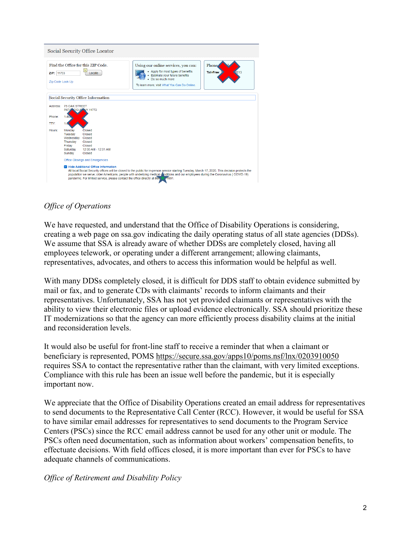

## *Office of Operations*

We have requested, and understand that the Office of Disability Operations is considering, creating a web page on ssa.gov indicating the daily operating status of all state agencies (DDSs). We assume that SSA is already aware of whether DDSs are completely closed, having all employees telework, or operating under a different arrangement; allowing claimants, representatives, advocates, and others to access this information would be helpful as well.

With many DDSs completely closed, it is difficult for DDS staff to obtain evidence submitted by mail or fax, and to generate CDs with claimants' records to inform claimants and their representatives. Unfortunately, SSA has not yet provided claimants or representatives with the ability to view their electronic files or upload evidence electronically. SSA should prioritize these IT modernizations so that the agency can more efficiently process disability claims at the initial and reconsideration levels.

It would also be useful for front-line staff to receive a reminder that when a claimant or beneficiary is represented, POMS<https://secure.ssa.gov/apps10/poms.nsf/lnx/0203910050> requires SSA to contact the representative rather than the claimant, with very limited exceptions. Compliance with this rule has been an issue well before the pandemic, but it is especially important now.

We appreciate that the Office of Disability Operations created an email address for representatives to send documents to the Representative Call Center (RCC). However, it would be useful for SSA to have similar email addresses for representatives to send documents to the Program Service Centers (PSCs) since the RCC email address cannot be used for any other unit or module. The PSCs often need documentation, such as information about workers' compensation benefits, to effectuate decisions. With field offices closed, it is more important than ever for PSCs to have adequate channels of communications.

*Office of Retirement and Disability Policy*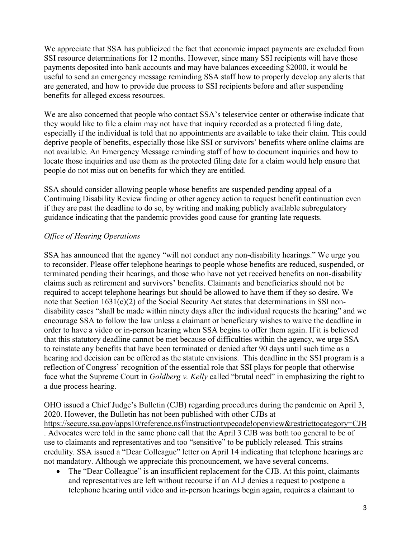We appreciate that SSA has publicized the fact that economic impact payments are excluded from SSI resource determinations for 12 months. However, since many SSI recipients will have those payments deposited into bank accounts and may have balances exceeding \$2000, it would be useful to send an emergency message reminding SSA staff how to properly develop any alerts that are generated, and how to provide due process to SSI recipients before and after suspending benefits for alleged excess resources.

We are also concerned that people who contact SSA's teleservice center or otherwise indicate that they would like to file a claim may not have that inquiry recorded as a protected filing date, especially if the individual is told that no appointments are available to take their claim. This could deprive people of benefits, especially those like SSI or survivors' benefits where online claims are not available. An Emergency Message reminding staff of how to document inquiries and how to locate those inquiries and use them as the protected filing date for a claim would help ensure that people do not miss out on benefits for which they are entitled.

SSA should consider allowing people whose benefits are suspended pending appeal of a Continuing Disability Review finding or other agency action to request benefit continuation even if they are past the deadline to do so, by writing and making publicly available subregulatory guidance indicating that the pandemic provides good cause for granting late requests.

## *Office of Hearing Operations*

SSA has announced that the agency "will not conduct any non-disability hearings." We urge you to reconsider. Please offer telephone hearings to people whose benefits are reduced, suspended, or terminated pending their hearings, and those who have not yet received benefits on non-disability claims such as retirement and survivors' benefits. Claimants and beneficiaries should not be required to accept telephone hearings but should be allowed to have them if they so desire. We note that Section 1631(c)(2) of the Social Security Act states that determinations in SSI nondisability cases "shall be made within ninety days after the individual requests the hearing" and we encourage SSA to follow the law unless a claimant or beneficiary wishes to waive the deadline in order to have a video or in-person hearing when SSA begins to offer them again. If it is believed that this statutory deadline cannot be met because of difficulties within the agency, we urge SSA to reinstate any benefits that have been terminated or denied after 90 days until such time as a hearing and decision can be offered as the statute envisions. This deadline in the SSI program is a reflection of Congress' recognition of the essential role that SSI plays for people that otherwise face what the Supreme Court in *Goldberg v. Kelly* called "brutal need" in emphasizing the right to a due process hearing.

OHO issued a Chief Judge's Bulletin (CJB) regarding procedures during the pandemic on April 3, 2020. However, the Bulletin has not been published with other CJBs at <https://secure.ssa.gov/apps10/reference.nsf/instructiontypecode!openview&restricttocategory=CJB> . Advocates were told in the same phone call that the April 3 CJB was both too general to be of use to claimants and representatives and too "sensitive" to be publicly released. This strains credulity. SSA issued a "Dear Colleague" letter on April 14 indicating that telephone hearings are not mandatory. Although we appreciate this pronouncement, we have several concerns.

• The "Dear Colleague" is an insufficient replacement for the CJB. At this point, claimants and representatives are left without recourse if an ALJ denies a request to postpone a telephone hearing until video and in-person hearings begin again, requires a claimant to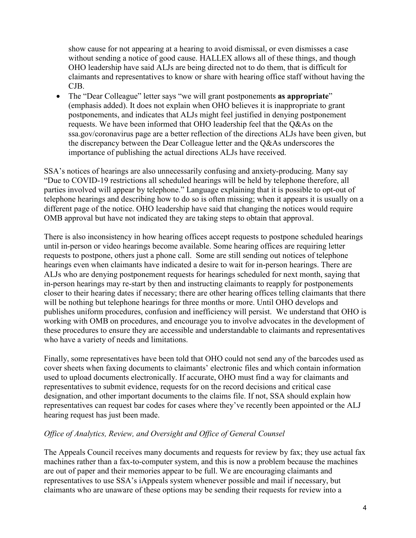show cause for not appearing at a hearing to avoid dismissal, or even dismisses a case without sending a notice of good cause. HALLEX allows all of these things, and though OHO leadership have said ALJs are being directed not to do them, that is difficult for claimants and representatives to know or share with hearing office staff without having the CJB.

• The "Dear Colleague" letter says "we will grant postponements **as appropriate**" (emphasis added). It does not explain when OHO believes it is inappropriate to grant postponements, and indicates that ALJs might feel justified in denying postponement requests. We have been informed that OHO leadership feel that the Q&As on the ssa.gov/coronavirus page are a better reflection of the directions ALJs have been given, but the discrepancy between the Dear Colleague letter and the Q&As underscores the importance of publishing the actual directions ALJs have received.

SSA's notices of hearings are also unnecessarily confusing and anxiety-producing. Many say "Due to COVID-19 restrictions all scheduled hearings will be held by telephone therefore, all parties involved will appear by telephone." Language explaining that it is possible to opt-out of telephone hearings and describing how to do so is often missing; when it appears it is usually on a different page of the notice. OHO leadership have said that changing the notices would require OMB approval but have not indicated they are taking steps to obtain that approval.

There is also inconsistency in how hearing offices accept requests to postpone scheduled hearings until in-person or video hearings become available. Some hearing offices are requiring letter requests to postpone, others just a phone call. Some are still sending out notices of telephone hearings even when claimants have indicated a desire to wait for in-person hearings. There are ALJs who are denying postponement requests for hearings scheduled for next month, saying that in-person hearings may re-start by then and instructing claimants to reapply for postponements closer to their hearing dates if necessary; there are other hearing offices telling claimants that there will be nothing but telephone hearings for three months or more. Until OHO develops and publishes uniform procedures, confusion and inefficiency will persist. We understand that OHO is working with OMB on procedures, and encourage you to involve advocates in the development of these procedures to ensure they are accessible and understandable to claimants and representatives who have a variety of needs and limitations.

Finally, some representatives have been told that OHO could not send any of the barcodes used as cover sheets when faxing documents to claimants' electronic files and which contain information used to upload documents electronically. If accurate, OHO must find a way for claimants and representatives to submit evidence, requests for on the record decisions and critical case designation, and other important documents to the claims file. If not, SSA should explain how representatives can request bar codes for cases where they've recently been appointed or the ALJ hearing request has just been made.

## *Office of Analytics, Review, and Oversight and Office of General Counsel*

The Appeals Council receives many documents and requests for review by fax; they use actual fax machines rather than a fax-to-computer system, and this is now a problem because the machines are out of paper and their memories appear to be full. We are encouraging claimants and representatives to use SSA's iAppeals system whenever possible and mail if necessary, but claimants who are unaware of these options may be sending their requests for review into a